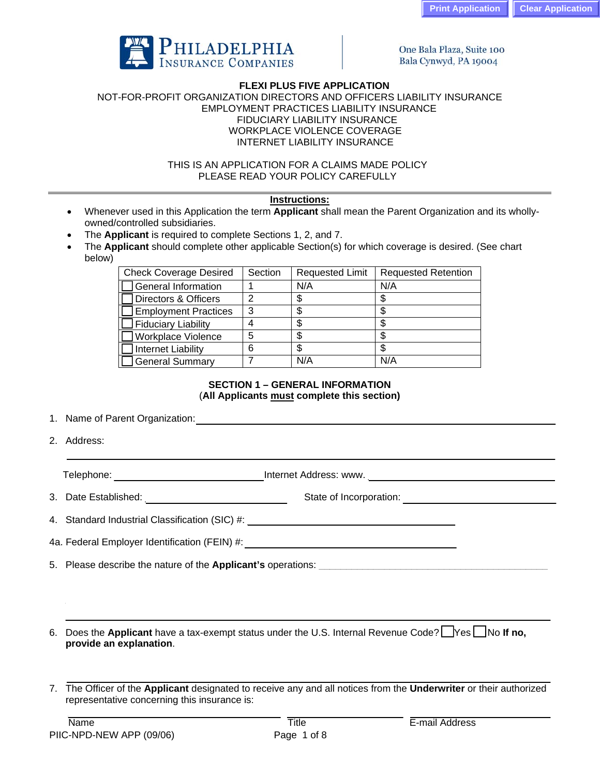

One Bala Plaza, Suite 100 Bala Cynwyd, PA 19004

## **FLEXI PLUS FIVE APPLICATION**

NOT-FOR-PROFIT ORGANIZATION DIRECTORS AND OFFICERS LIABILITY INSURANCE EMPLOYMENT PRACTICES LIABILITY INSURANCE FIDUCIARY LIABILITY INSURANCE WORKPLACE VIOLENCE COVERAGE INTERNET LIABILITY INSURANCE

> THIS IS AN APPLICATION FOR A CLAIMS MADE POLICY PLEASE READ YOUR POLICY CAREFULLY

# **Instructions:**

- Whenever used in this Application the term **Applicant** shall mean the Parent Organization and its whollyowned/controlled subsidiaries.
- The **Applicant** is required to complete Sections 1, 2, and 7.
- The **Applicant** should complete other applicable Section(s) for which coverage is desired. (See chart below)

| <b>Check Coverage Desired</b> | Section | <b>Requested Limit</b> | <b>Requested Retention</b> |
|-------------------------------|---------|------------------------|----------------------------|
| General Information           |         | N/A                    | N/A                        |
| Directors & Officers          |         |                        |                            |
| <b>Employment Practices</b>   | າ<br>C. | Ф                      |                            |
| Fiduciary Liability           |         |                        |                            |
| Workplace Violence            | 5       | \$                     |                            |
| Internet Liability            | 6       |                        |                            |
| General Summary               |         | N/A                    | N/A                        |

# **SECTION 1 – GENERAL INFORMATION**  (**All Applicants must complete this section)**

1. Name of Parent Organization:  $\blacksquare$ 

2. Address:

Telephone: \_\_\_\_\_\_\_\_\_\_\_\_\_\_\_\_\_\_\_\_ Internet Address: www. \_\_\_\_\_\_\_\_\_\_\_\_\_\_\_\_\_\_\_\_\_\_\_\_\_\_\_\_\_\_\_

3. Date Established: etc. and a state of Incorporation:  $\frac{1}{2}$  State of Incorporation:

4. Standard Industrial Classification (SIC) #: \_\_\_\_\_\_\_\_\_\_\_\_\_\_\_\_\_\_\_\_\_\_\_\_\_\_\_\_\_\_\_\_\_

4a. Federal Employer Identification (FEIN) #: xxxxxxxxxxxxxxxxxxx\_\_\_\_\_\_\_\_\_\_\_\_\_\_\_\_\_\_\_\_\_

5. Please describe the nature of the **Applicant's** operations: \_\_\_\_\_\_\_\_\_\_\_\_\_\_\_\_\_\_\_\_\_\_\_\_\_\_\_\_\_\_\_\_\_\_\_\_\_\_\_\_\_\_

6. Does the **Applicant** have a tax-exempt status under the U.S. Internal Revenue Code? **Thes The If no, provide an explanation**.

7. The Officer of the **Applicant** designated to receive any and all notices from the **Underwriter** or their authorized representative concerning this insurance is: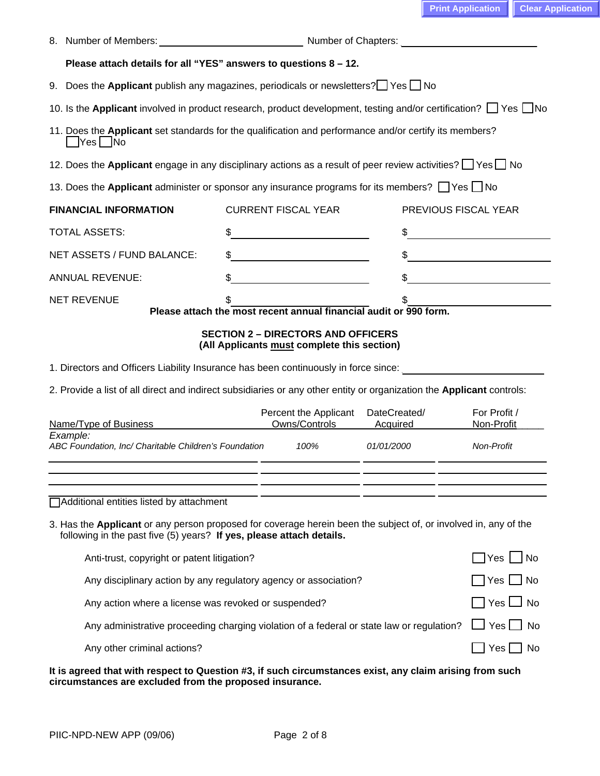|                                                                                                                                                                                                              | Please attach details for all "YES" answers to questions 8 - 12.      |                                                                   |                          |                                                                                                                      |  |  |
|--------------------------------------------------------------------------------------------------------------------------------------------------------------------------------------------------------------|-----------------------------------------------------------------------|-------------------------------------------------------------------|--------------------------|----------------------------------------------------------------------------------------------------------------------|--|--|
| 9. Does the Applicant publish any magazines, periodicals or newsletters? $\Box$ Yes $\Box$ No                                                                                                                |                                                                       |                                                                   |                          |                                                                                                                      |  |  |
| 10. Is the Applicant involved in product research, product development, testing and/or certification? T Yes No                                                                                               |                                                                       |                                                                   |                          |                                                                                                                      |  |  |
| 11. Does the Applicant set standards for the qualification and performance and/or certify its members?<br>$Yes$ No                                                                                           |                                                                       |                                                                   |                          |                                                                                                                      |  |  |
| 12. Does the Applicant engage in any disciplinary actions as a result of peer review activities? The Second                                                                                                  |                                                                       |                                                                   |                          |                                                                                                                      |  |  |
| 13. Does the Applicant administer or sponsor any insurance programs for its members? Thes Tho                                                                                                                |                                                                       |                                                                   |                          |                                                                                                                      |  |  |
| <b>FINANCIAL INFORMATION</b>                                                                                                                                                                                 |                                                                       | <b>CURRENT FISCAL YEAR</b>                                        |                          | PREVIOUS FISCAL YEAR                                                                                                 |  |  |
| <b>TOTAL ASSETS:</b>                                                                                                                                                                                         | \$                                                                    | <u> 1989 - Johann Barn, mars et al. (</u>                         |                          |                                                                                                                      |  |  |
| NET ASSETS / FUND BALANCE:                                                                                                                                                                                   |                                                                       |                                                                   |                          |                                                                                                                      |  |  |
| <b>ANNUAL REVENUE:</b>                                                                                                                                                                                       | \$                                                                    |                                                                   |                          | <u> 1980 - Jan Stein Stein Stein Stein Stein Stein Stein Stein Stein Stein Stein Stein Stein Stein Stein Stein S</u> |  |  |
| <b>NET REVENUE</b>                                                                                                                                                                                           |                                                                       |                                                                   |                          | <u> 1990 - Johann Barbara, martin a</u>                                                                              |  |  |
|                                                                                                                                                                                                              |                                                                       | Please attach the most recent annual financial audit or 990 form. |                          |                                                                                                                      |  |  |
| 1. Directors and Officers Liability Insurance has been continuously in force since:<br>2. Provide a list of all direct and indirect subsidiaries or any other entity or organization the Applicant controls: |                                                                       | (All Applicants must complete this section)                       |                          |                                                                                                                      |  |  |
| Name/Type of Business                                                                                                                                                                                        |                                                                       | Percent the Applicant<br>Owns/Controls                            | DateCreated/<br>Acquired | For Profit /<br>Non-Profit                                                                                           |  |  |
| Example:<br>ABC Foundation, Inc/ Charitable Children's Foundation                                                                                                                                            |                                                                       | 100%                                                              | <i>01/01/2000</i>        | <b>Non-Profit</b>                                                                                                    |  |  |
| Additional entities listed by attachment<br>3. Has the Applicant or any person proposed for coverage herein been the subject of, or involved in, any of the                                                  |                                                                       |                                                                   |                          |                                                                                                                      |  |  |
| following in the past five (5) years? If yes, please attach details.                                                                                                                                         |                                                                       |                                                                   |                          |                                                                                                                      |  |  |
| Anti-trust, copyright or patent litigation?                                                                                                                                                                  |                                                                       |                                                                   |                          | Yes<br><b>No</b>                                                                                                     |  |  |
| Any disciplinary action by any regulatory agency or association?<br>Yes <b>∐</b> No                                                                                                                          |                                                                       |                                                                   |                          |                                                                                                                      |  |  |
|                                                                                                                                                                                                              | Yes $\Box$ No<br>Any action where a license was revoked or suspended? |                                                                   |                          |                                                                                                                      |  |  |
| Any administrative proceeding charging violation of a federal or state law or regulation?                                                                                                                    |                                                                       |                                                                   |                          | Yes   No                                                                                                             |  |  |
| Any other criminal actions?                                                                                                                                                                                  |                                                                       |                                                                   |                          | Yes  <br>l No                                                                                                        |  |  |
|                                                                                                                                                                                                              |                                                                       |                                                                   |                          |                                                                                                                      |  |  |

**It is agreed that with respect to Question #3, if such circumstances exist, any claim arising from such circumstances are excluded from the proposed insurance.**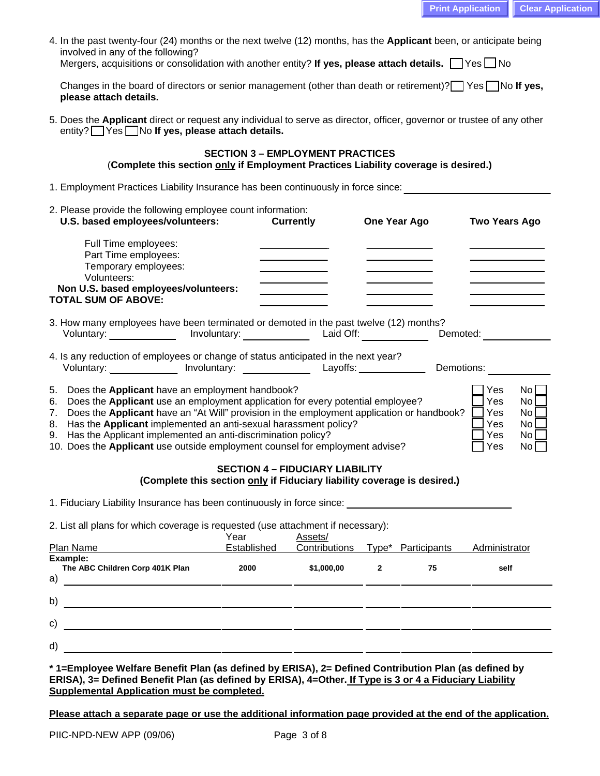| 4. In the past twenty-four (24) months or the next twelve (12) months, has the <b>Applicant</b> been, or anticipate being |  |  |  |
|---------------------------------------------------------------------------------------------------------------------------|--|--|--|
| involved in any of the following?                                                                                         |  |  |  |

Mergers, acquisitions or consolidation with another entity? If yes, please attach details.  $\Box$  Yes  $\Box$  No

Changes in the board of directors or senior management (other than death or retirement)? Yes No If yes,  **please attach details.** 

5. Does the **Applicant** direct or request any individual to serve as director, officer, governor or trustee of any other entity? **Wes No If yes, please attach details.** 

# **SECTION 3 – EMPLOYMENT PRACTICES**  (**Complete this section only if Employment Practices Liability coverage is desired.)**

- 1. Employment Practices Liability Insurance has been continuously in force since: \_\_\_\_\_\_\_\_\_\_\_\_\_\_\_\_\_\_\_\_\_\_\_\_\_\_\_
- 2. Please provide the following employee count information:  **U.S. based employees/volunteers: Currently One Year Ago Two Years Ago**  Full Time employees: Part Time employees: Temporary employees: \_\_\_\_\_ \_\_\_\_\_ Volunteers: \_\_\_\_\_ \_\_\_\_\_ Non U.S. based employees/volunteers: **TOTAL SUM OF ABOVE: \_\_\_\_\_\_\_\_\_\_\_ \_\_\_\_\_\_ \_\_\_\_\_\_\_**
- 3. How many employees have been terminated or demoted in the past twelve (12) months? Voluntary: \_\_\_\_\_\_\_\_\_\_\_\_\_\_ Involuntary: \_\_\_\_\_\_\_\_\_\_\_\_\_\_\_ Laid Off: \_\_\_\_\_\_\_\_\_\_\_\_\_\_\_ Demoted: \_\_\_\_\_\_\_\_\_\_
- 4. Is any reduction of employees or change of status anticipated in the next year? Voluntary: \_\_\_\_\_\_\_\_\_\_\_\_\_\_ Involuntary: \_\_\_\_\_\_\_\_\_\_\_\_\_\_\_\_ Layoffs: \_\_\_\_\_\_\_\_\_\_\_\_\_\_\_ Demotions:
- 5. Does the **Applicant** have an employment handbook?  $\Box$  Yes No
- 
- Frank School of the **Applicant** use an employment application for every potential employee?<br>
The School of the **Applicant** have an "At Will" provision in the employment application or handbook?<br> **Exact School of the Applic** 7. Does the **Applicant** have an "At Will" provision in the employment application or handbook?  $\Box$  Yes 8. Has the **Applicant** implemented an anti-sexual harassment policy?
- 8. Has the **Applicant** implemented an anti-sexual harassment policy?  $\Box$  Yes No
- 9. Has the Applicant implemented an anti-discrimination policy?  $\Box$  Yes No
- 10. Does the **Applicant** use outside employment counsel for employment advise? <br>
Thes No

#### **SECTION 4 – FIDUCIARY LIABILITY (Complete this section only if Fiduciary liability coverage is desired.)**

1. Fiduciary Liability Insurance has been continuously in force since:

2. List all plans for which coverage is requested (use attachment if necessary):

| Plan Name                                         | Year<br>Established | Assets/<br>Contributions |              | Type* Participants | Administrator |
|---------------------------------------------------|---------------------|--------------------------|--------------|--------------------|---------------|
| Example:<br>The ABC Children Corp 401K Plan<br>a) | 2000                | \$1,000,00               | $\mathbf{2}$ | 75                 | self          |
| b)                                                |                     |                          |              |                    |               |
| $\mathsf{c})$                                     |                     |                          |              |                    |               |
| d)                                                |                     |                          |              |                    |               |

**\* 1=Employee Welfare Benefit Plan (as defined by ERISA), 2= Defined Contribution Plan (as defined by ERISA), 3= Defined Benefit Plan (as defined by ERISA), 4=Other. If Type is 3 or 4 a Fiduciary Liability Supplemental Application must be completed.** 

**Please attach a separate page or use the additional information page provided at the end of the application.**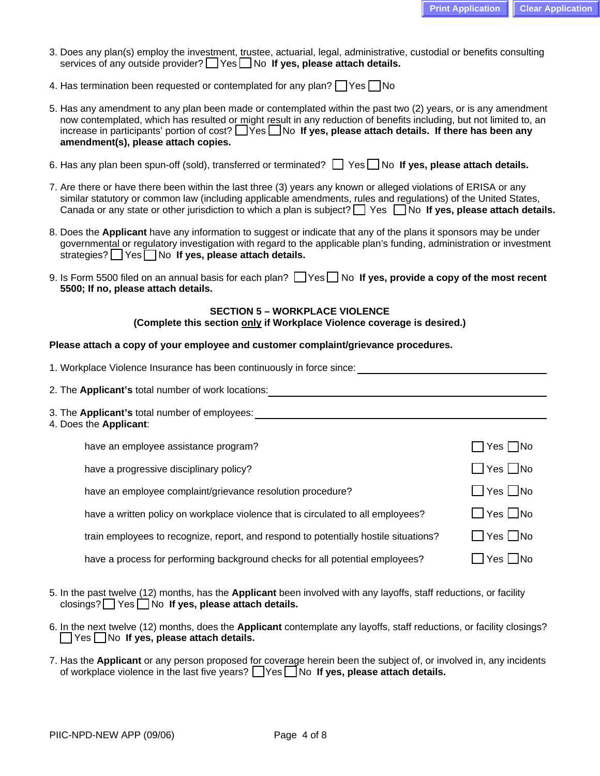- 3. Does any plan(s) employ the investment, trustee, actuarial, legal, administrative, custodial or benefits consulting services of any outside provider? **Yes** No **If yes, please attach details.**
- 4. Has termination been requested or contemplated for any plan?  $\Box$  Yes  $\Box$  No
- 5. Has any amendment to any plan been made or contemplated within the past two (2) years, or is any amendment now contemplated, which has resulted or might result in any reduction of benefits including, but not limited to, an increase in participants' portion of cost? **No image Interate attach details. If there has been any**  $\blacksquare$  Yes  $\blacksquare$  No If yes, please attach details. If there has been any  **amendment(s), please attach copies.**
- 6. Has any plan been spun-off (sold), transferred or terminated? **Solut Yes No If yes, please attach details.**
- 7. Are there or have there been within the last three (3) years any known or alleged violations of ERISA or any similar statutory or common law (including applicable amendments, rules and regulations) of the United States, Canada or any state or other jurisdiction to which a plan is subject?  $\Box$  Yes  $\Box$  No **If yes, please attach details.**
- 8. Does the **Applicant** have any information to suggest or indicate that any of the plans it sponsors may be under governmental or regulatory investigation with regard to the applicable plan's funding, administration or investment strategies? Yes No If yes, please attach details.
- 9. Is Form 5500 filed on an annual basis for each plan?  $\Box$  Yes  $\Box$  No If yes, provide a copy of the most recent  **5500; If no, please attach details.**

#### **SECTION 5 – WORKPLACE VIOLENCE**

**(Complete this section only if Workplace Violence coverage is desired.)** 

# **Please attach a copy of your employee and customer complaint/grievance procedures.**

| 1. Workplace Violence Insurance has been continuously in force since:                |                      |
|--------------------------------------------------------------------------------------|----------------------|
| 2. The Applicant's total number of work locations:                                   |                      |
| 3. The Applicant's total number of employees:<br>4. Does the Applicant:              |                      |
| have an employee assistance program?                                                 | $\Box$ Yes $\Box$ No |
| have a progressive disciplinary policy?                                              | $\Box$ Yes $\Box$ No |
| have an employee complaint/grievance resolution procedure?                           | $\Box$ Yes $\Box$ No |
| have a written policy on workplace violence that is circulated to all employees?     | $\Box$ Yes $\Box$ No |
| train employees to recognize, report, and respond to potentially hostile situations? | $\Box$ Yes $\Box$ No |
| have a process for performing background checks for all potential employees?         | Yes INo              |
|                                                                                      |                      |

- 5. In the past twelve (12) months, has the **Applicant** been involved with any layoffs, staff reductions, or facility closings? Yes No If yes, please attach details.
- 6. In the next twelve (12) months, does the **Applicant** contemplate any layoffs, staff reductions, or facility closings? Yes No **If yes, please attach details.**
- 7. Has the **Applicant** or any person proposed for coverage herein been the subject of, or involved in, any incidents of workplace violence in the last five years? **The State of yes, please attach details.**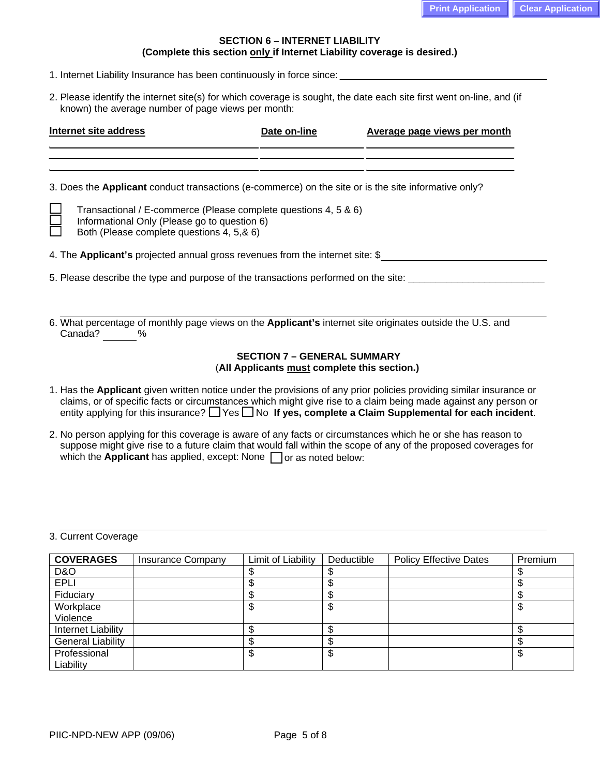# **SECTION 6 – INTERNET LIABILITY (Complete this section only if Internet Liability coverage is desired.)**

- 1. Internet Liability Insurance has been continuously in force since:
- 2. Please identify the internet site(s) for which coverage is sought, the date each site first went on-line, and (if known) the average number of page views per month:

| Internet site address                                                              |                                                                                                                                                              | Date on-line | Average page views per month |  |  |  |
|------------------------------------------------------------------------------------|--------------------------------------------------------------------------------------------------------------------------------------------------------------|--------------|------------------------------|--|--|--|
|                                                                                    |                                                                                                                                                              |              |                              |  |  |  |
|                                                                                    | 3. Does the Applicant conduct transactions (e-commerce) on the site or is the site informative only?                                                         |              |                              |  |  |  |
|                                                                                    | Transactional / E-commerce (Please complete questions 4, 5 & 6)<br>Informational Only (Please go to question 6)<br>Both (Please complete questions 4, 5,& 6) |              |                              |  |  |  |
|                                                                                    | 4. The <b>Applicant's</b> projected annual gross revenues from the internet site: \$                                                                         |              |                              |  |  |  |
| 5. Please describe the type and purpose of the transactions performed on the site: |                                                                                                                                                              |              |                              |  |  |  |
|                                                                                    |                                                                                                                                                              |              |                              |  |  |  |
|                                                                                    | 6. What percentage of monthly page views on the <b>Applicant's</b> internet site originates outside the U.S. and<br>Canada?<br>$\%$                          |              |                              |  |  |  |
| <b>SECTION 7 - GENERAL SUMMARY</b><br>(All Applicants must complete this section.) |                                                                                                                                                              |              |                              |  |  |  |

- 1. Has the **Applicant** given written notice under the provisions of any prior policies providing similar insurance or claims, or of specific facts or circumstances which might give rise to a claim being made against any person or entity applying for this insurance?  $\Box$  Yes  $\Box$  No If yes, complete a Claim Supplemental for each incident.
- 2. No person applying for this coverage is aware of any facts or circumstances which he or she has reason to suppose might give rise to a future claim that would fall within the scope of any of the proposed coverages for which the **Applicant** has applied, except: None  $\Box$  or as noted below:

3. Current Coverage

| <b>COVERAGES</b>          | <b>Insurance Company</b> | Limit of Liability | Deductible | <b>Policy Effective Dates</b> | Premium |
|---------------------------|--------------------------|--------------------|------------|-------------------------------|---------|
| D&O                       |                          |                    |            |                               |         |
| <b>EPLI</b>               |                          |                    |            |                               |         |
| Fiduciary                 |                          | œ                  |            |                               |         |
| Workplace                 |                          | ጥ<br>D             | Φ          |                               |         |
| Violence                  |                          |                    |            |                               |         |
| <b>Internet Liability</b> |                          |                    |            |                               |         |
| <b>General Liability</b>  |                          | æ                  |            |                               |         |
| Professional              |                          | \$                 | Φ          |                               |         |
| Liability                 |                          |                    |            |                               |         |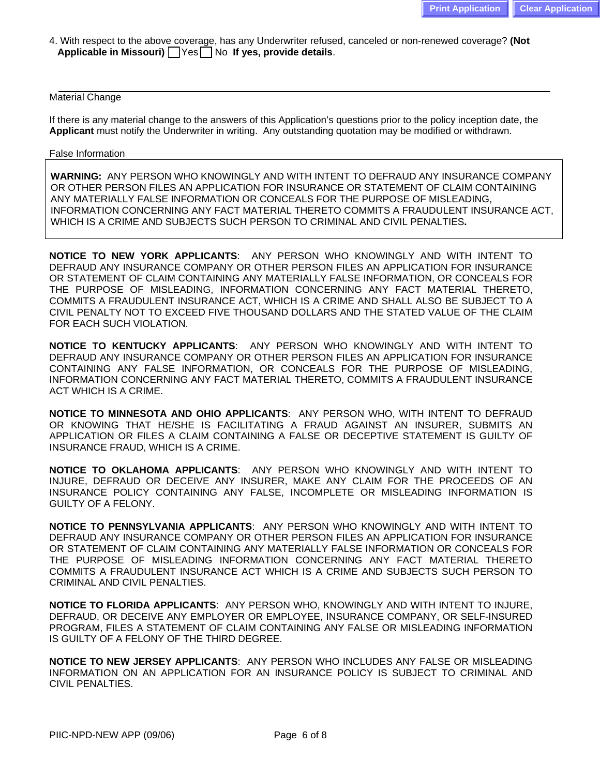4. With respect to the above coverage, has any Underwriter refused, canceled or non-renewed coverage? **(Not Applicable in Missouri)**  $\bigcap$  Yes  $\bigcap$  No If yes, provide details.

## Material Change

If there is any material change to the answers of this Application's questions prior to the policy inception date, the **Applicant** must notify the Underwriter in writing. Any outstanding quotation may be modified or withdrawn.

#### False Information

**WARNING:** ANY PERSON WHO KNOWINGLY AND WITH INTENT TO DEFRAUD ANY INSURANCE COMPANY OR OTHER PERSON FILES AN APPLICATION FOR INSURANCE OR STATEMENT OF CLAIM CONTAINING ANY MATERIALLY FALSE INFORMATION OR CONCEALS FOR THE PURPOSE OF MISLEADING, INFORMATION CONCERNING ANY FACT MATERIAL THERETO COMMITS A FRAUDULENT INSURANCE ACT, WHICH IS A CRIME AND SUBJECTS SUCH PERSON TO CRIMINAL AND CIVIL PENALTIES**.** 

**NOTICE TO NEW YORK APPLICANTS**: ANY PERSON WHO KNOWINGLY AND WITH INTENT TO DEFRAUD ANY INSURANCE COMPANY OR OTHER PERSON FILES AN APPLICATION FOR INSURANCE OR STATEMENT OF CLAIM CONTAINING ANY MATERIALLY FALSE INFORMATION, OR CONCEALS FOR THE PURPOSE OF MISLEADING, INFORMATION CONCERNING ANY FACT MATERIAL THERETO, COMMITS A FRAUDULENT INSURANCE ACT, WHICH IS A CRIME AND SHALL ALSO BE SUBJECT TO A CIVIL PENALTY NOT TO EXCEED FIVE THOUSAND DOLLARS AND THE STATED VALUE OF THE CLAIM FOR EACH SUCH VIOLATION.

**NOTICE TO KENTUCKY APPLICANTS**: ANY PERSON WHO KNOWINGLY AND WITH INTENT TO DEFRAUD ANY INSURANCE COMPANY OR OTHER PERSON FILES AN APPLICATION FOR INSURANCE CONTAINING ANY FALSE INFORMATION, OR CONCEALS FOR THE PURPOSE OF MISLEADING, INFORMATION CONCERNING ANY FACT MATERIAL THERETO, COMMITS A FRAUDULENT INSURANCE ACT WHICH IS A CRIME.

**NOTICE TO MINNESOTA AND OHIO APPLICANTS**: ANY PERSON WHO, WITH INTENT TO DEFRAUD OR KNOWING THAT HE/SHE IS FACILITATING A FRAUD AGAINST AN INSURER, SUBMITS AN APPLICATION OR FILES A CLAIM CONTAINING A FALSE OR DECEPTIVE STATEMENT IS GUILTY OF INSURANCE FRAUD, WHICH IS A CRIME.

**NOTICE TO OKLAHOMA APPLICANTS**: ANY PERSON WHO KNOWINGLY AND WITH INTENT TO INJURE, DEFRAUD OR DECEIVE ANY INSURER, MAKE ANY CLAIM FOR THE PROCEEDS OF AN INSURANCE POLICY CONTAINING ANY FALSE, INCOMPLETE OR MISLEADING INFORMATION IS GUILTY OF A FELONY.

**NOTICE TO PENNSYLVANIA APPLICANTS**: ANY PERSON WHO KNOWINGLY AND WITH INTENT TO DEFRAUD ANY INSURANCE COMPANY OR OTHER PERSON FILES AN APPLICATION FOR INSURANCE OR STATEMENT OF CLAIM CONTAINING ANY MATERIALLY FALSE INFORMATION OR CONCEALS FOR THE PURPOSE OF MISLEADING INFORMATION CONCERNING ANY FACT MATERIAL THERETO COMMITS A FRAUDULENT INSURANCE ACT WHICH IS A CRIME AND SUBJECTS SUCH PERSON TO CRIMINAL AND CIVIL PENALTIES.

**NOTICE TO FLORIDA APPLICANTS**: ANY PERSON WHO, KNOWINGLY AND WITH INTENT TO INJURE, DEFRAUD, OR DECEIVE ANY EMPLOYER OR EMPLOYEE, INSURANCE COMPANY, OR SELF-INSURED PROGRAM, FILES A STATEMENT OF CLAIM CONTAINING ANY FALSE OR MISLEADING INFORMATION IS GUILTY OF A FELONY OF THE THIRD DEGREE.

**NOTICE TO NEW JERSEY APPLICANTS**: ANY PERSON WHO INCLUDES ANY FALSE OR MISLEADING INFORMATION ON AN APPLICATION FOR AN INSURANCE POLICY IS SUBJECT TO CRIMINAL AND CIVIL PENALTIES.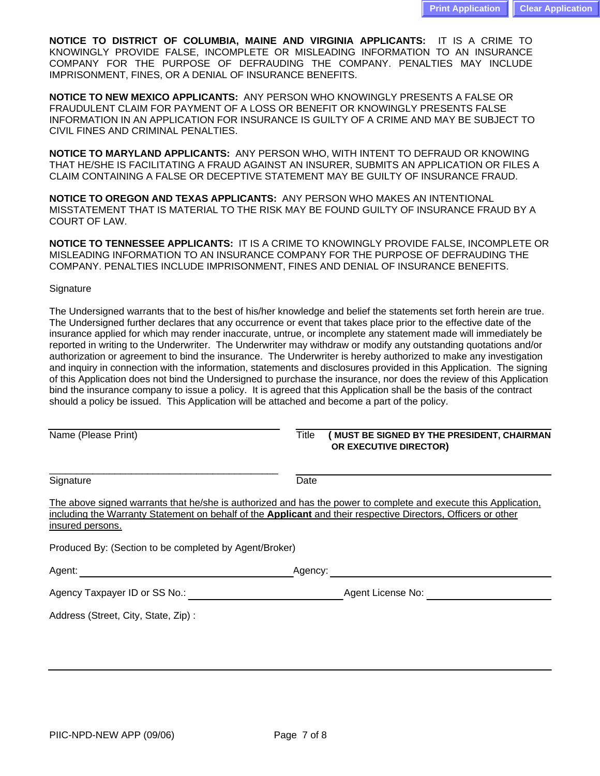**NOTICE TO DISTRICT OF COLUMBIA, MAINE AND VIRGINIA APPLICANTS:** IT IS A CRIME TO KNOWINGLY PROVIDE FALSE, INCOMPLETE OR MISLEADING INFORMATION TO AN INSURANCE COMPANY FOR THE PURPOSE OF DEFRAUDING THE COMPANY. PENALTIES MAY INCLUDE IMPRISONMENT, FINES, OR A DENIAL OF INSURANCE BENEFITS.

**NOTICE TO NEW MEXICO APPLICANTS:** ANY PERSON WHO KNOWINGLY PRESENTS A FALSE OR FRAUDULENT CLAIM FOR PAYMENT OF A LOSS OR BENEFIT OR KNOWINGLY PRESENTS FALSE INFORMATION IN AN APPLICATION FOR INSURANCE IS GUILTY OF A CRIME AND MAY BE SUBJECT TO CIVIL FINES AND CRIMINAL PENALTIES.

**NOTICE TO MARYLAND APPLICANTS:** ANY PERSON WHO, WITH INTENT TO DEFRAUD OR KNOWING THAT HE/SHE IS FACILITATING A FRAUD AGAINST AN INSURER, SUBMITS AN APPLICATION OR FILES A CLAIM CONTAINING A FALSE OR DECEPTIVE STATEMENT MAY BE GUILTY OF INSURANCE FRAUD.

**NOTICE TO OREGON AND TEXAS APPLICANTS:** ANY PERSON WHO MAKES AN INTENTIONAL MISSTATEMENT THAT IS MATERIAL TO THE RISK MAY BE FOUND GUILTY OF INSURANCE FRAUD BY A COURT OF LAW.

**NOTICE TO TENNESSEE APPLICANTS:** IT IS A CRIME TO KNOWINGLY PROVIDE FALSE, INCOMPLETE OR MISLEADING INFORMATION TO AN INSURANCE COMPANY FOR THE PURPOSE OF DEFRAUDING THE COMPANY. PENALTIES INCLUDE IMPRISONMENT, FINES AND DENIAL OF INSURANCE BENEFITS.

#### **Signature**

The Undersigned warrants that to the best of his/her knowledge and belief the statements set forth herein are true. The Undersigned further declares that any occurrence or event that takes place prior to the effective date of the insurance applied for which may render inaccurate, untrue, or incomplete any statement made will immediately be reported in writing to the Underwriter. The Underwriter may withdraw or modify any outstanding quotations and/or authorization or agreement to bind the insurance. The Underwriter is hereby authorized to make any investigation and inquiry in connection with the information, statements and disclosures provided in this Application. The signing of this Application does not bind the Undersigned to purchase the insurance, nor does the review of this Application bind the insurance company to issue a policy. It is agreed that this Application shall be the basis of the contract should a policy be issued. This Application will be attached and become a part of the policy.

#### Name (Please Print) **Title (INUST BE SIGNED BY THE PRESIDENT, CHAIRMAN OR EXECUTIVE DIRECTOR)**

Signature Date **Date** 

\_\_\_\_\_\_\_\_\_\_\_\_\_\_\_\_\_\_\_\_\_\_\_\_\_\_\_\_\_\_\_\_\_\_\_\_\_\_\_\_\_\_ \_\_\_\_\_\_\_\_\_\_\_\_\_\_\_\_\_\_\_\_\_\_\_\_\_\_\_\_\_\_\_\_\_\_\_\_\_\_\_\_\_\_\_\_\_

\_\_\_\_\_\_\_\_\_\_\_\_\_\_\_\_\_\_\_\_\_\_\_\_\_\_\_\_\_\_\_\_\_\_\_\_\_\_\_\_\_\_ \_\_\_\_\_\_\_\_\_\_\_\_\_\_\_\_\_\_\_\_\_\_\_\_\_\_\_\_\_\_\_\_\_\_\_\_\_\_\_\_\_\_\_\_\_

The above signed warrants that he/she is authorized and has the power to complete and execute this Application, including the Warranty Statement on behalf of the **Applicant** and their respective Directors, Officers or other insured persons.

Produced By: (Section to be completed by Agent/Broker)

| Agent:                        | Agency:           |  |
|-------------------------------|-------------------|--|
| Agency Taxpayer ID or SS No.: | Agent License No: |  |

Address (Street, City, State, Zip) :